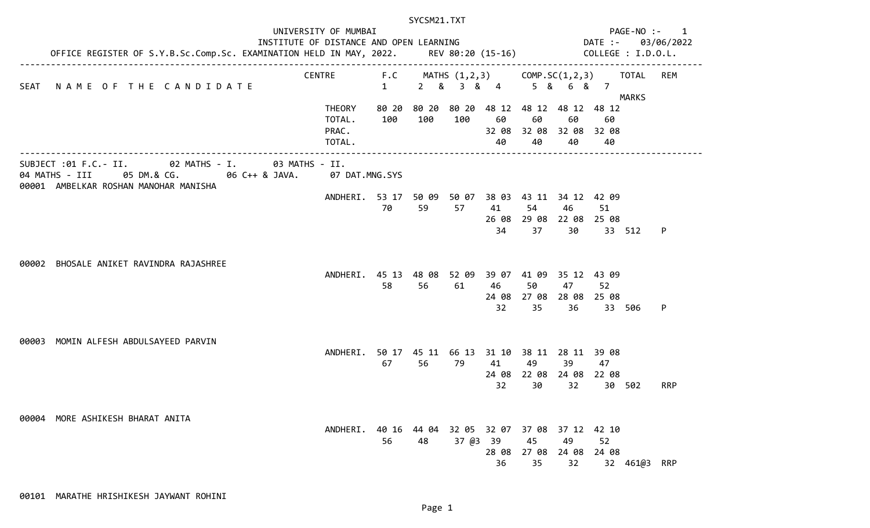|       |                                                                                                                                                  |                                                                                                                                                               | SYCSM21.TXT         |                                                |                               |                                  |                            |                                                                           |                      |                       |            |  |  |
|-------|--------------------------------------------------------------------------------------------------------------------------------------------------|---------------------------------------------------------------------------------------------------------------------------------------------------------------|---------------------|------------------------------------------------|-------------------------------|----------------------------------|----------------------------|---------------------------------------------------------------------------|----------------------|-----------------------|------------|--|--|
| SEAT  |                                                                                                                                                  | UNIVERSITY OF MUMBAI<br>INSTITUTE OF DISTANCE AND OPEN LEARNING<br>OFFICE REGISTER OF S.Y.B.Sc.Comp.Sc. EXAMINATION HELD IN MAY, 2022.      REV 80:20 (15-16) |                     |                                                |                               |                                  |                            | PAGE-NO :-<br>$\mathbf{1}$<br>DATE :-<br>03/06/2022<br>COLLEGE : I.D.O.L. |                      |                       |            |  |  |
|       | NAME OF THE CANDIDATE                                                                                                                            | <b>CENTRE</b>                                                                                                                                                 | F.C<br>$\mathbf{1}$ | MATHS $(1,2,3)$ COMP.SC $(1,2,3)$<br>2 & 3 & 4 |                               |                                  |                            | 5 & 6 & 7                                                                 |                      | TOTAL<br><b>MARKS</b> | REM        |  |  |
|       |                                                                                                                                                  | <b>THEORY</b><br>TOTAL.<br>PRAC.<br>TOTAL.                                                                                                                    | 80 20<br>100        | 80 20<br>100                                   | 80 20<br>100                  | 48 12<br>60<br>32 08<br>40       | 60<br>40                   | 48 12 48 12 48 12<br>60<br>32 08 32 08 32 08<br>40                        | 60<br>40             |                       |            |  |  |
|       | SUBJECT : 01 F.C. - II. 02 MATHS - I. 03 MATHS - II.<br>04 MATHS - III<br>05 DM.& CG.<br>06 C++ & JAVA.<br>00001 AMBELKAR ROSHAN MANOHAR MANISHA | 07 DAT.MNG.SYS                                                                                                                                                |                     |                                                |                               |                                  |                            |                                                                           |                      |                       |            |  |  |
|       |                                                                                                                                                  | ANDHERI.                                                                                                                                                      | 70                  | 53 17 50 09<br>59                              | 57                            | 41<br>26 08<br>34                | 54<br>37                   | 50 07 38 03 43 11 34 12 42 09<br>46<br>29 08 22 08 25 08<br>30            | 51<br>33             | 512                   | P          |  |  |
| 00002 | BHOSALE ANIKET RAVINDRA RAJASHREE                                                                                                                | ANDHERI. 45 13 48 08                                                                                                                                          | 58                  | 56                                             | 52 09<br>61                   | 39 07<br>46<br>24 08<br>32       | 41 09<br>50<br>27 08<br>35 | 35 12 43 09<br>47<br>28 08 25 08<br>36                                    | 52<br>33             | 506                   | P          |  |  |
| 00003 | MOMIN ALFESH ABDULSAYEED PARVIN                                                                                                                  | ANDHERI.                                                                                                                                                      | 67                  | 56                                             | 50 17 45 11 66 13 31 10<br>79 | 41<br>24 08<br>32                | 49<br>30                   | 38 11 28 11 39 08<br>39<br>22 08 24 08 22 08<br>32                        | 47<br>30             | 502                   | <b>RRP</b> |  |  |
| 00004 | MORE ASHIKESH BHARAT ANITA                                                                                                                       | ANDHERI.                                                                                                                                                      | 40 16<br>56         | 44 04<br>48                                    | 37 @3                         | 32 05 32 07<br>39<br>28 08<br>36 | 37 08<br>45<br>27 08<br>35 | 37 12<br>49<br>24 08<br>32                                                | 42 10<br>52<br>24 08 | 32 461@3 RRP          |            |  |  |

00101 MARATHE HRISHIKESH JAYWANT ROHINI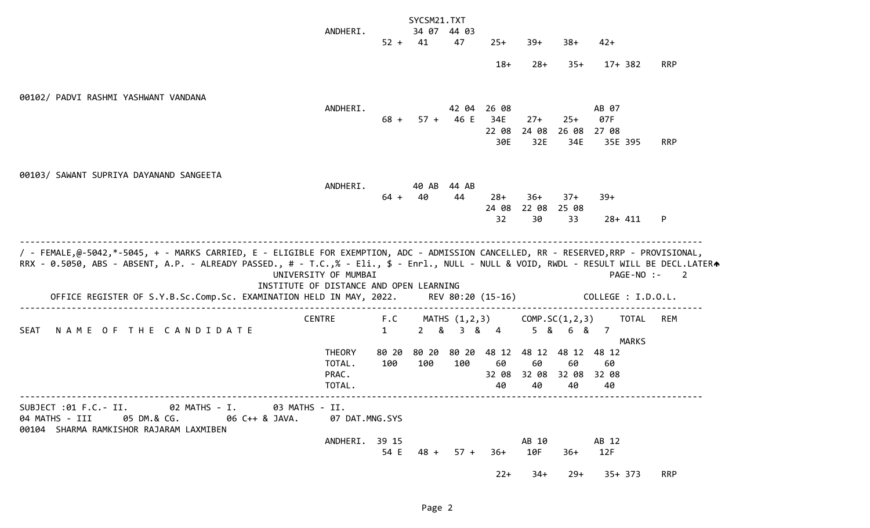|                                                                                                                                                                                                                                                            |                      |              | SYCSM21.TXT      |               |                        |              |                   |                    |              |                |
|------------------------------------------------------------------------------------------------------------------------------------------------------------------------------------------------------------------------------------------------------------|----------------------|--------------|------------------|---------------|------------------------|--------------|-------------------|--------------------|--------------|----------------|
|                                                                                                                                                                                                                                                            | ANDHERI.             |              |                  | 34 07 44 03   |                        |              |                   |                    |              |                |
|                                                                                                                                                                                                                                                            |                      | $52 + 41$    |                  | 47            | $25+$                  | $39+$        | $38 +$            | $42+$              |              |                |
|                                                                                                                                                                                                                                                            |                      |              |                  |               | $18+$                  | $28+$        | $35+$             |                    | $17+382$     | <b>RRP</b>     |
| 00102/ PADVI RASHMI YASHWANT VANDANA                                                                                                                                                                                                                       |                      |              |                  |               |                        |              |                   |                    |              |                |
|                                                                                                                                                                                                                                                            | ANDHERI.             |              |                  | 42 04         | 26 08                  |              |                   | AB 07              |              |                |
|                                                                                                                                                                                                                                                            |                      | $68 +$       |                  | $57 + 46 E$   | 34E                    | $27+$        | $25+$             | 07F                |              |                |
|                                                                                                                                                                                                                                                            |                      |              |                  |               | 22 08<br>30E           | 24 08<br>32E | 26 08<br>34E      | 27 08<br>35E 395   |              | <b>RRP</b>     |
|                                                                                                                                                                                                                                                            |                      |              |                  |               |                        |              |                   |                    |              |                |
| 00103/ SAWANT SUPRIYA DAYANAND SANGEETA                                                                                                                                                                                                                    |                      |              |                  |               |                        |              |                   |                    |              |                |
|                                                                                                                                                                                                                                                            | ANDHERI.             |              | 40 AB            | 44 AB         |                        |              |                   |                    |              |                |
|                                                                                                                                                                                                                                                            |                      | $64 +$       | 40               | 44            | $28+$                  | $36+$        | $37+$             | $39+$              |              |                |
|                                                                                                                                                                                                                                                            |                      |              |                  |               | 24 08<br>32            | 22 08<br>30  | 25 08<br>33       |                    | $28 + 411$   | P              |
|                                                                                                                                                                                                                                                            |                      |              |                  |               |                        |              |                   |                    |              |                |
| RRX - 0.5050, ABS - ABSENT, A.P. - ALREADY PASSED., # - T.C.,% - Eli., \$ - Enrl., NULL - NULL & VOID, RWDL - RESULT WILL BE DECL.LATERA<br>INSTITUTE OF DISTANCE AND OPEN LEARNING<br>OFFICE REGISTER OF S.Y.B.Sc.Comp.Sc. EXAMINATION HELD IN MAY, 2022. | UNIVERSITY OF MUMBAI |              |                  |               | REV 80:20 (15-16)      |              |                   | COLLEGE : I.D.O.L. | PAGE-NO :-   | $\overline{2}$ |
|                                                                                                                                                                                                                                                            | <b>CENTRE</b>        | F.C          |                  | MATHS (1,2,3) |                        |              | COMP. SC(1, 2, 3) |                    | <b>TOTAL</b> | <b>REM</b>     |
| NAME OF THE CANDIDATE<br><b>SEAT</b>                                                                                                                                                                                                                       |                      | $\mathbf{1}$ | &<br>$2^{\circ}$ | 3 & 4         |                        | $5\quad$ &   | 6<br>୍ଷ           | 7                  |              |                |
|                                                                                                                                                                                                                                                            | <b>THEORY</b>        | 80 20        | 80 20            | 80 20         | 48 12                  | 48 12        | 48 12             | 48 12              | MARKS        |                |
|                                                                                                                                                                                                                                                            | TOTAL.               | 100          | 100              | 100           | 60                     | 60           | 60                | 60                 |              |                |
|                                                                                                                                                                                                                                                            | PRAC.                |              |                  |               | 32 08                  | 32 08        | 32 08             | 32 08              |              |                |
|                                                                                                                                                                                                                                                            | TOTAL.               |              |                  |               | 40                     | 40           | 40                | 40                 |              |                |
| SUBJECT :01 F.C.- II. 02 MATHS - I. 03 MATHS - II.<br>04 MATHS - III 05 DM.& CG. 06 C++ & JAVA.<br>00104 SHARMA RAMKISHOR RAJARAM LAXMIBEN                                                                                                                 | 07 DAT.MNG.SYS       |              |                  |               |                        |              |                   |                    |              |                |
|                                                                                                                                                                                                                                                            | ANDHERI. 39 15       |              |                  |               |                        |              | AB 10             | AB 12              |              |                |
|                                                                                                                                                                                                                                                            |                      |              |                  |               | 54 E 48 + 57 + 36+ 10F |              | $36+$             | 12F                |              |                |
|                                                                                                                                                                                                                                                            |                      |              |                  |               |                        |              |                   |                    |              |                |